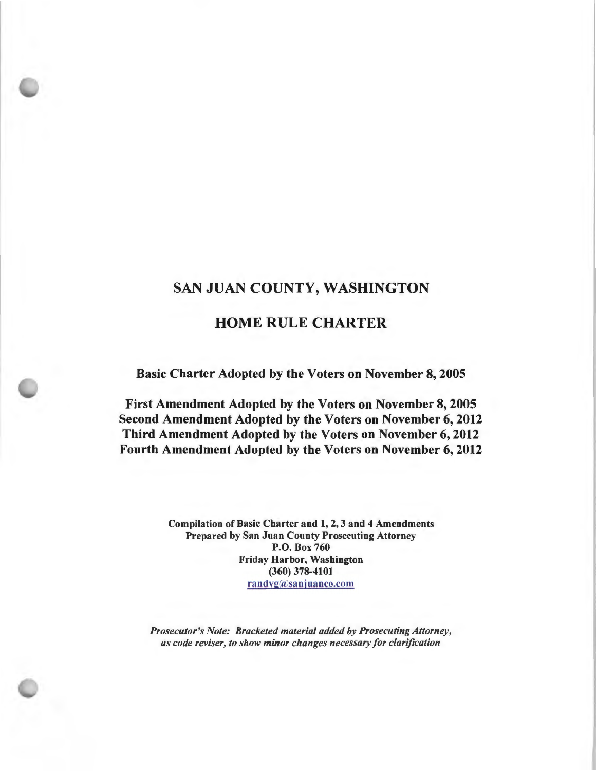# SAN JUAN COUNTY, WASHINGTON

# HOME RULE CHARTER

Basic Charter Adopted by the Voters on November 8, 2005

First Amendment Adopted by the Voters on November 8, 2005 Second Amendment Adopted by the Voters on November 6, 2012 Third Amendment Adopted by the Voters on November 6, 2012 Fourth Amendment Adopted by the Voters on November 6, 2012

> Compilation of Basic Charter and 1, 2, 3 and 4 Amendments Prepared by San Juan County Prosecuting Attorney **P.O.** Box 760 Friday Harbor, Washington (360) 378-4101 randyg@sanjuanco.com

*Prosecutor's Note: Bracketed material added by Prosecuting Attorney, as code reviser, to show minor changes necessary for clarification*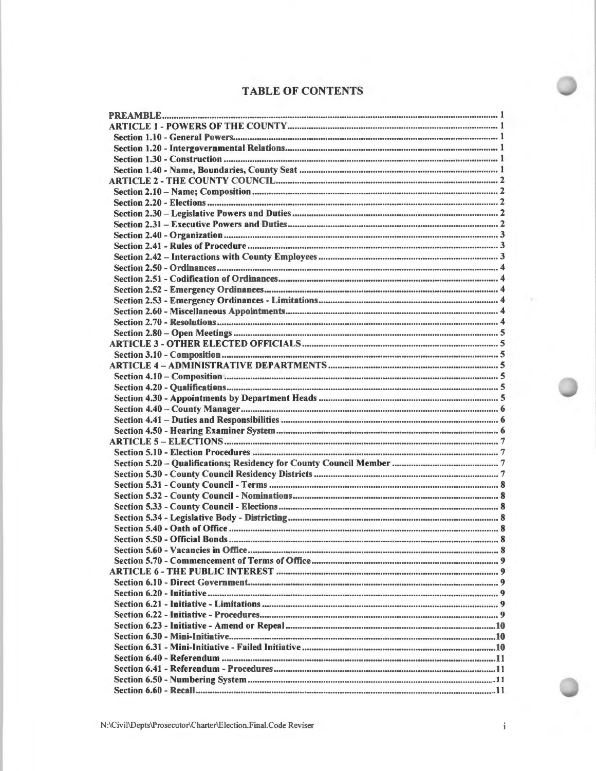# **TABLE OF CONTENTS**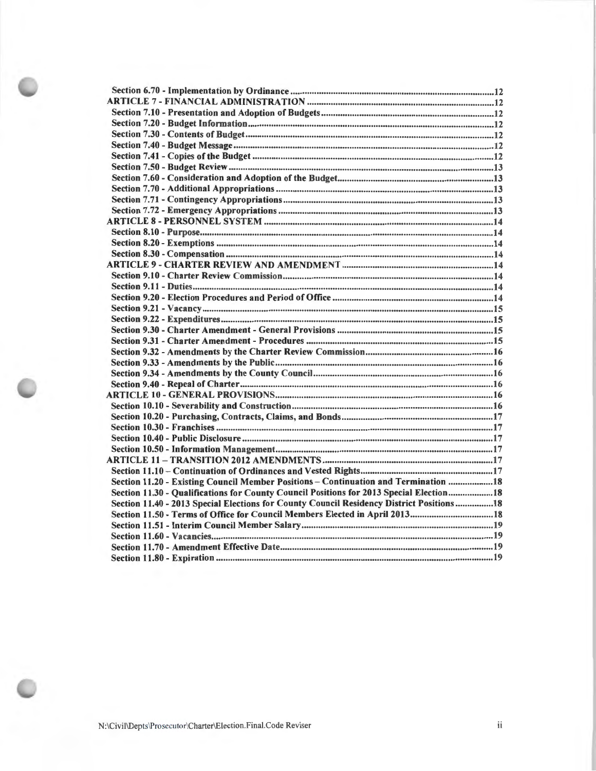| Section 11.20 - Existing Council Member Positions - Continuation and Termination 18      |  |
|------------------------------------------------------------------------------------------|--|
| Section 11.30 - Qualifications for County Council Positions for 2013 Special Election18  |  |
|                                                                                          |  |
| Section 11.40 - 2013 Special Elections for County Council Residency District Positions18 |  |
| Section 11.50 - Terms of Office for Council Members Elected in April 201318              |  |
|                                                                                          |  |
|                                                                                          |  |
|                                                                                          |  |
|                                                                                          |  |

N:\Civil\Depts\Prosecutor\Charter\Election.Final.Code Reviser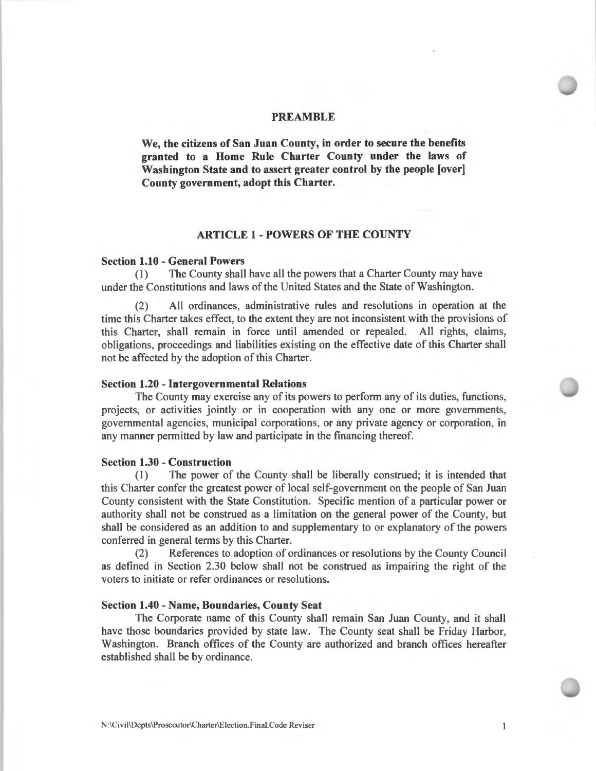#### **PREAMBLE**

**We, the citizens of San Juan County, in order to secure the benefits granted to a Home Rule Charter County under the laws of Washington State and to assert greater control by the people [over] County government, adopt this Charter.** 

#### **ARTICLE 1** - **POWERS OF THE COUNTY**

#### **Section 1.10** - **General Powers**

(1) The County shall have all the powers that a Charter County may have under the Constitutions and laws of the United States and the State of Washington.

(2) All ordinances, administrative rules and resolutions in operation at the time this Charter takes effect, to the extent they are not inconsistent with the provisions of this Charter, shall remain in force until amended or repealed. All rights, claims, obligations, proceedings and liabilities existing on the effective date of this Charter shall not be affected by the adoption of this Charter.

#### **Section 1.20** - **Intergovernmental Relations**

The County may exercise any of its powers to perform any of its duties, functions, projects, or activities jointly or in cooperation with any one or more governments, governmental agencies, municipal corporations, or any private agency or corporation, in any manner permitted by law and participate in the financing thereof.

# **Section 1.30** - **Construction**

(1) The power of the County shall be liberally construed; it is intended that this Charter confer the greatest power of local self-government on the people of San Juan County consistent with the State Constitution. Specific mention of a particular power or authority shall not be construed as a limitation on the general power of the County, but shall be considered as an addition to and supplementary to or explanatory of the powers conferred in general terms by this Charter.

(2) References to adoption of ordinances or resolutions by the County Council as defined in Section 2.30 below shall not be construed as impairing the right of the voters to initiate or refer ordinances or resolutions.

### **Section 1.40** - **Name, Boundaries, County Seat**

The Corporate name of this County shall remain San Juan County, and it shall have those boundaries provided by state law. The County seat shall be Friday Harbor, Washington. Branch offices of the County are authorized and branch offices hereafter established shall be by ordinance.

 $\mathbf{1}$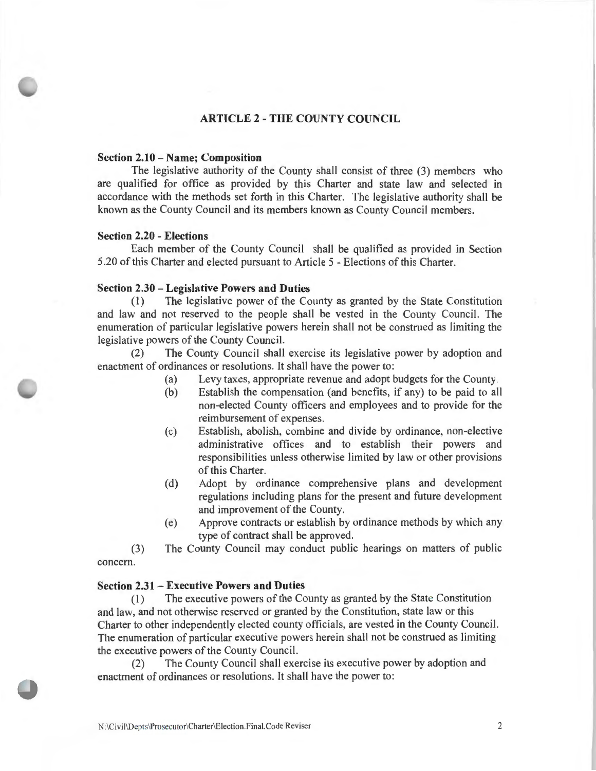# **ARTICLE 2 - THE COUNTY COUNCIL**

#### **Section 2.10- Name; Composition**

The legislative authority of the County shall consist of three (3) members who are qualified for office as provided by this Charter and state law and selected in accordance with the methods set forth in this Charter. The legislative authority shall be known as the County Council and its members known as County Council members.

### **Section 2.20 - Elections**

Each member of the County Council shall be qualified as provided in Section 5.20 of this Charter and elected pursuant to Article 5 - Elections of this Charter.

#### **Section 2.30 - Legislative Powers and Duties**

(I) The legislative power of the County as granted by the State Constitution and law and not reserved to the people shall be vested in the County Council. The enumeration of particular legislative powers herein shall not be construed as limiting the legislative powers of the County Council.

(2) The County Council shall exercise its legislative power by adoption and enactment of ordinances or resolutions. It shall have the power to:

- (a) Levy taxes, appropriate revenue and adopt budgets for the County.
- (b) Establish the compensation (and benefits, if any) to be paid to all non-elected County officers and employees and to provide for the reimbursement of expenses.
- (c) Establish, abolish, combine and divide by ordinance, non-elective administrative offices and to establish their powers and responsibilities unless otherwise limited by law or other provisions of this Charter.
- (d) Adopt by ordinance comprehensive plans and development regulations including plans for the present and future development and improvement of the County.
- (e) Approve contracts or establish by ordinance methods by which any type of contract shall be approved.

(3) The County Council may conduct public hearings on matters of public concern.

### **Section 2.31 - Executive Powers and Duties**

( 1) The executive powers of the County as granted by the State Constitution and law, and not otherwise reserved or granted by the Constitution, state law or this Charter to other independently elected county officials, are vested in the County Council. The enumeration of particular executive powers herein shall not be construed as limiting the executive powers of the County Council.

(2) The County Council shall exercise its executive power by adoption and enactment of ordinances or resolutions. It shall have the power to: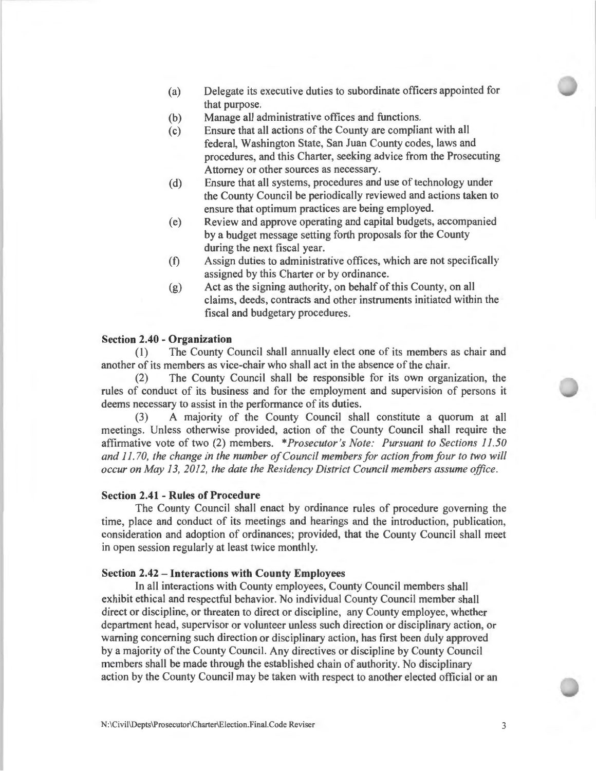- (a) Delegate its executive duties to subordinate officers appointed for that purpose.
- (b) Manage all administrative offices and functions.
- (c) Ensure that all actions of the County are compliant with all federal, Washington State, San Juan County codes, laws and procedures, and this Charter, seeking advice from the Prosecuting Attorney or other sources as necessary.
- (d) Ensure that all systems, procedures and use of technology under the County Council be periodically reviewed and actions taken to ensure that optimum practices are being employed.
- (e) Review and approve operating and capital budgets, accompanied by a budget message setting forth proposals for the County during the next fiscal year.
- (t) Assign duties to administrative offices, which are not specifically assigned by this Charter or by ordinance.
- (g) Act as the signing authority, on behalf of this County, on all claims, deeds, contracts and other instruments initiated within the fiscal and budgetary procedures.

### **Section 2.40 - Organization**

(1) The County Council shall annually elect one of its members as chair and another of its members as vice-chair who shall act in the absence of the chair.

(2) The County Council shall be responsible for its own organization, the rules of conduct of its business and for the employment and supervision of persons it deems necessary to assist in the performance of its duties.

(3) A majority of the County Council shall constitute a quorum at all meetings. Unless otherwise provided, action of the County Council shall require the affirmative vote of two (2) members. *\*Prosecutor's Note: Pursuant to Sections 11.50 and 11. 70, the change in the number of Council members for action from four to two will occur on May I 3, 2012, the date the Residency District Council members assume office.* 

# **Section 2.41 - Rules of Procedure**

The County Council shall enact by ordinance rules of procedure governing the time, place and conduct of its meetings and hearings and the introduction, publication, consideration and adoption of ordinances; provided, that the County Council shall meet in open session regularly at least twice monthly.

# **Section 2.42 - Interactions with County Employees**

In all interactions with County employees, County Council members shall exhibit ethical and respectful behavior. No individual County Council member shall direct or discipline, or threaten to direct or discipline, any County employee, whether department head, supervisor or volunteer unless such direction or disciplinary action, or warning concerning such direction or disciplinary action, has first been duly approved by a majority of the County Council. Any directives or discipline by County Council members shall be made through the established chain of authority. No disciplinary action by the County Council may be taken with respect to another elected official or an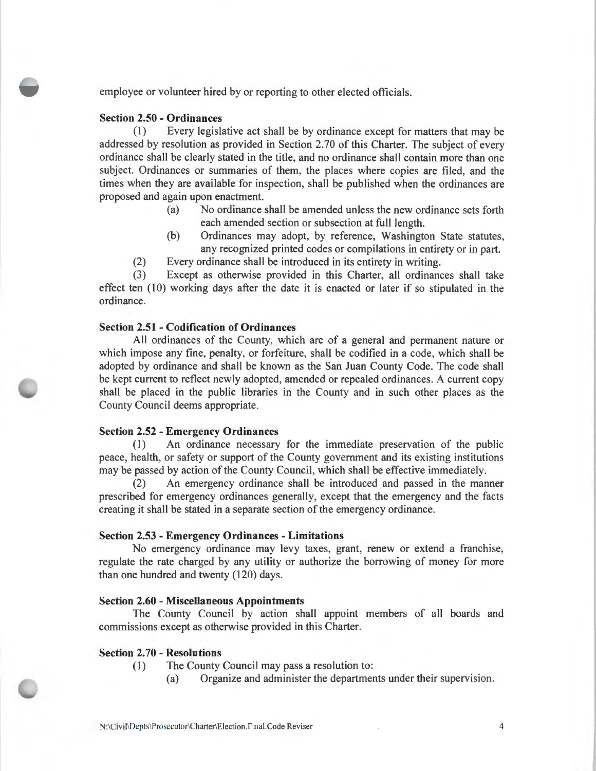employee or volunteer hired by or reporting to other elected officials.

### **Section 2.50 - Ordinances**

(1) Every legislative act shall be by ordinance except for matters that may be addressed by resolution as provided in Section 2.70 of this Charter. The subject of every ordinance shall be clearly stated in the title, and no ordinance shall contain more than one subject. Ordinances or summaries of them, the places where copies are filed, and the times when they are available for inspection, shall be published when the ordinances are proposed and again upon enactment.

- (a) No ordinance shall be amended unless the new ordinance sets forth each amended section or subsection at **full** length.
- (b) Ordinances may adopt, by reference, Washington State statutes, any recognized printed codes or compilations in entirety or in part.
- (2) Every ordinance shall be introduced **in** its entirety in writing.

(3) Except as otherwise provided in this Charter, all ordinances shall take effect ten  $(10)$  working days after the date it is enacted or later if so stipulated in the ordinance.

### **Section 2.51 - Codification of Ordinances**

All ordinances of the County, which are of a general and permanent nature or which impose any fine, penalty, or forfeiture, shall be codified in a code, which shall be adopted by ordinance and shall be known as the San Juan County Code. The code shall be kept current to reflect newly adopted, amended or repealed ordinances. A current copy shall be placed in the public libraries in the County and in such other places as the County Council deems appropriate.

### **Section 2.52 - Emergency Ordinances**

(I) An ordinance necessary for the immediate preservation of the public peace, health, or safety or support of the County government and its existing institutions may be passed by action of the County Council, which shall be effective immediately.

(2) An emergency ordinance shall be introduced and passed in the manner prescribed for emergency ordinances generally, except that the emergency and the facts creating it shall be stated **in** a separate section of the emergency ordinance.

### **Section 2.53 - Emergency Ordinances - Limitations**

No emergency ordinance may levy taxes, grant, renew or extend a franchise, regulate the rate charged by any utility or authorize the borrowing of money for more than one hundred and twenty (120) days.

#### **Section 2.60 - Miscellaneous Appointments**

The County Council by action shall appoint members of all boards and commissions except as otherwise provided in this Charter.

#### **Section 2.70 - Resolutions**

- (I) The County Council may pass a resolution to:
	- (a) Organize and administer the departments under their supervision.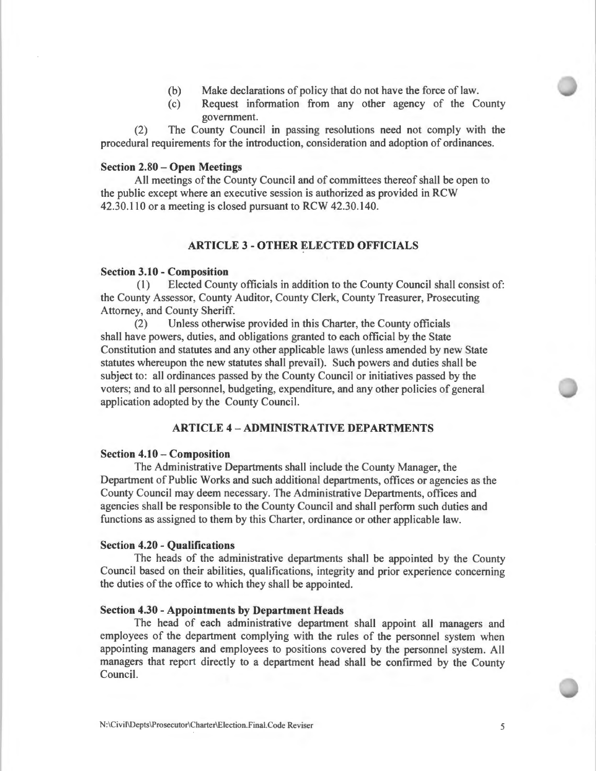- (b) Make declarations of policy that do not have the force of law.
- (c) Request information from any other agency of the County government.

(2) The County Council in passing resolutions need not comply with the procedural requirements for the introduction, consideration and adoption of ordinances.

### **Section 2.80 - Open Meetings**

All meetings of the County Council and of committees thereof shall be open to the public except where an executive session is authorized as provided in RCW 42.30.110 or a meeting is closed pursuant to RCW 42.30.140.

### **ARTICLE 3 - OTHER ELECTED OFFICIALS**

#### **Section 3.10 - Composition**

**(1)** Elected County officials in addition to the County Council shall consist of: the County Assessor, County Auditor, County Clerk, County Treasurer, Prosecuting Attorney, and County Sheriff.

(2) Unless otherwise provided in this Charter, the County officials shall have powers, duties, and obligations granted to each official by the State Constitution and statutes and any other applicable laws (unless amended by new State statutes whereupon the new statutes shall prevail). Such powers and duties shall be subject to: all ordinances passed by the County Council or initiatives passed by the voters; and to all personnel, budgeting, expenditure, and any other policies of general application adopted by the County Council.

# **ARTICLE 4 -ADMINISTRATIVE DEPARTMENTS**

#### **Section 4.10 - Composition**

The Administrative Departments shall include the County Manager, the Department of Public Works and such additional departments, offices or agencies as the County Council may deem necessary. The Administrative Departments, offices and agencies shall be responsible to the County Council and shall perform such duties and functions as assigned to them by this Charter, ordinance or other applicable law.

#### **Section 4.20 - Qualifications**

The heads of the administrative departments shall be appointed by the County Council based on their abilities, qualifications, integrity and prior experience concerning the duties of the office to which they shall be appointed.

### **Section 4.30 - Appointments by Department Heads**

The head of each administrative department shall appoint all managers and employees of the department complying with the rules of the personnel system when appointing managers and employees to positions covered by the personnel system. All managers that report directly to a department head shall be confirmed by the County Council.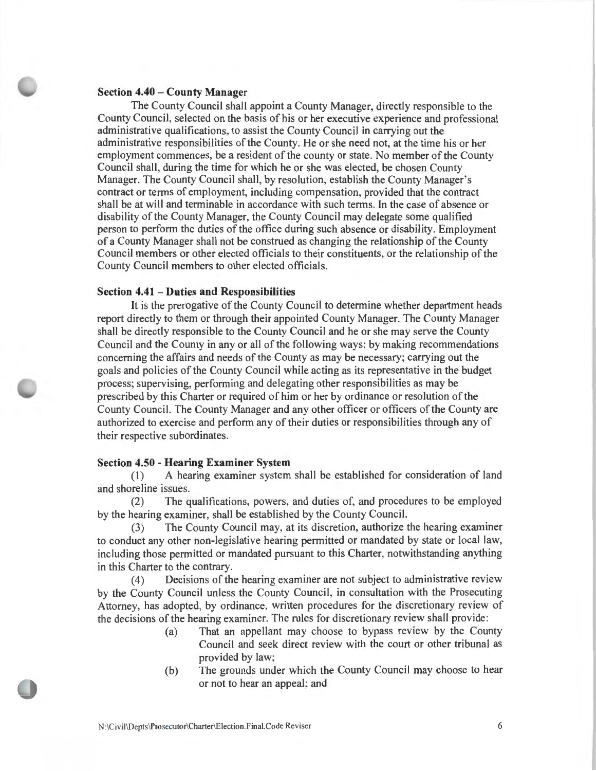### **Section 4.40** - **County Manager**

The County Council shall appoint a County Manager, directly responsible to the County Council, selected on the basis of his or her executive experience and professional administrative qualifications, to assist the County Council in carrying out the administrative responsibilities of the County. He or she need not, at the time his or her employment commences, be a resident of the county or state. No member of the County Council shall, during the time for which he or she was elected, be chosen County Manager. The County Council shall, by resolution, establish the County Manager's contract or terms of employment, including compensation, provided that the contract shall be at will and terminable in accordance with such terms. In the case of absence or disability of the County Manager, the County Council may delegate some qualified person to perform the duties of the office during such absence or disability. Employment of a County Manager shall not be construed as changing the relationship of the County Council members or other elected officials to their constituents, or the relationship of the County Council members to other elected officials.

### **Section 4.41** - **Duties and Responsibilities**

It is the prerogative of the County Council to determine whether department heads report directly to them or through their appointed County Manager. The County Manager shall be directly responsible to the County Council and he or she may serve the County Council and the County in any or all of the following ways: by making recommendations concerning the affairs and needs of the County as may be necessary; carrying out the goals and policies of the County Council while acting as its representative in the budget process; supervising, performing and delegating other responsibilities as may be prescribed by this Charter or required of him or her by ordinance or resolution of the County Council. The County Manager and any other officer or officers of the County are authorized to exercise and perform any of their duties or responsibilities through any of their respective subordinates.

#### **Section 4.50** - **Hearing Examiner System**

(1) A hearing examiner system shall be established for consideration of land and shoreline issues.

(2) The qualifications, powers, and duties of, and procedures to be employed by the hearing examiner, shall be established by the County Council.

(3) The County Council may, at its discretion, authorize the hearing examiner to conduct any other non-legislative hearing permitted or mandated by state or local law, including those permitted or mandated pursuant to this Charter, notwithstanding anything in this Charter to the contrary.

(4) Decisions of the hearing examiner are not subject to administrative review by the County Council unless the County Council, in consultation with the Prosecuting Attorney, has adopted, by ordinance, written procedures for the discretionary review of the decisions of the hearing examiner. The rules for discretionary review shall provide:

- (a) That an appellant may choose to bypass review by the County Council and seek direct review with the court or other tribunal as provided by law;
- (b) The grounds under which the County Council may choose to hear or not to hear an appeal; and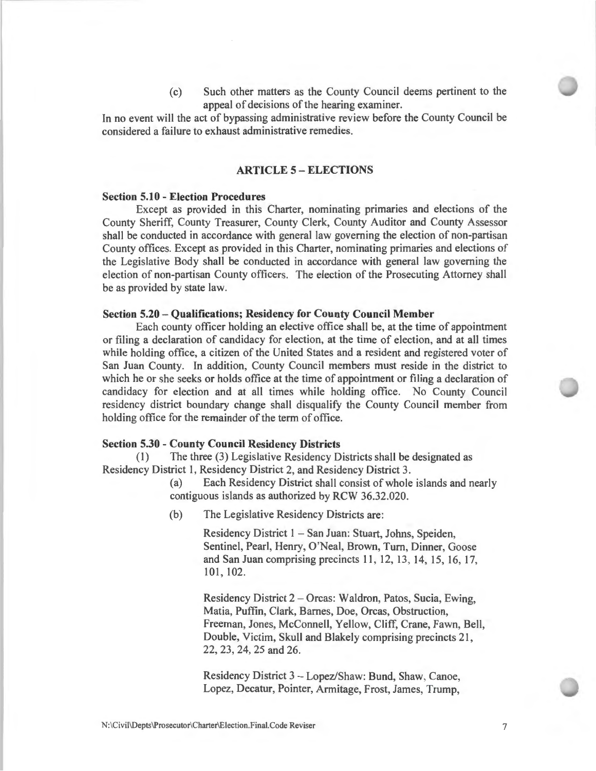(c) Such other matters as the County Council deems pertinent to the appeal of decisions of the hearing examiner.

In no event will the act of bypassing administrative review before the County Council be considered a failure to exhaust administrative remedies.

# **ARTICLE 5 - ELECTIONS**

#### **Section 5.10 - Election Procedures**

Except as provided in this Charter, nominating primaries and elections of the County Sheriff, County Treasurer, County Clerk, County Auditor and County Assessor shall be conducted in accordance with general law governing the election of non-partisan County offices. Except as provided in this Charter, nominating primaries and elections of the Legislative Body shall be conducted in accordance with general law governing the election of non-partisan County officers. The election of the Prosecuting Attorney shall be as provided by state law.

#### **Section 5.20 - Qualifications; Residency for County Council Member**

Each county officer holding an elective office shall be, at the time of appointment or filing a declaration of candidacy for election, at the time of election, and at all times while holding office, a citizen of the United States and a resident and registered voter of San Juan County. In addition, County Council members must reside in the district to which he or she seeks or holds office at the time of appointment or filing a declaration of candidacy for election and at all times while holding office. No County Council residency district boundary change shall disqualify the County Council member from holding office for the remainder of the term of office.

#### **Section 5.30 - County Council Residency Districts**

(1) The three (3) Legislative Residency Districts shall be designated as Residency District 1, Residency District 2, and Residency District 3.

> (a) Each Residency District shall consist of whole islands and nearly contiguous islands as authorized by RCW 36.32.020.

(b) The Legislative Residency Districts are:

Residency District **1** - San Juan: Stuart, Johns, Speiden, Sentinel, Pearl, Henry, O'Neal, Brown, Turn, Dinner, Goose and San Juan comprising precincts 11 , 12, 13, 14, 15, 16, 17, 101 , 102.

Residency District 2 - Orcas: Waldron, Patos, Sucia, Ewing, Matia, Puffin, Clark, Barnes, Doe, Orcas, Obstruction, Freeman, Jones, McConnell, Yellow, Cliff, Crane, Fawn, Bell, Double, Victim, Skull and Blakely comprising precincts 21, 22, 23, 24, 25 and 26.

Residency District 3 - Lopez/Shaw: Bund, Shaw, Canoe, Lopez, Decatur, Pointer, Armitage, Frost, James, Trump,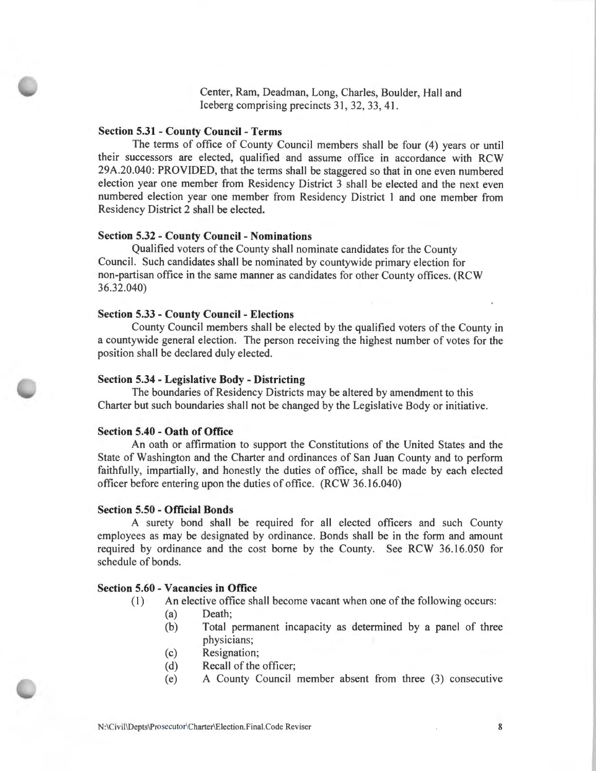Center, Ram, Deadman, Long, Charles, Boulder, Hall and Iceberg comprising precincts 31, 32, 33, 41.

### **Section 5.31 - County Council - Terms**

The terms of office of County Council members shall be four (4) years or until their successors are elected, qualified and assume office in accordance with RCW 29A.20.040: PROVIDED, that the terms shall be staggered so that in one even numbered election year one member from Residency District 3 shall be elected and the next even numbered election year one member from Residency District I and one member from Residency District 2 shall be elected.

# **Section 5.32 - County Council - Nominations**

Qualified voters of the County shall nominate candidates for the County Council. Such candidates shall be nominated by countywide primary election for non-partisan office in the same manner as candidates for other County offices. (RCW 36.32.040)

#### **Section 5.33 - County Council - Elections**

County Council members shall be elected by the qualified voters of the County in a countywide general election. The person receiving the highest number of votes for the position shall be declared duly elected.

### **Section 5.34 - Legislative Body - Districting**

The boundaries of Residency Districts may be altered by amendment to this Charter but such boundaries shall not be changed by the Legislative Body or initiative.

#### **Section 5.40 - Oath of Office**

An oath or affirmation to support the Constitutions of the United States and the State of Washington and the Charter and ordinances of San Juan County and to perform faithfully, impartially, and honestly the duties of office, shall be made by each elected officer before entering upon the duties of office. (RCW 36.16.040)

#### **Section 5.50 - Official Bonds**

A surety bond shall be required for all elected officers and such County employees as may be designated by ordinance. Bonds shall be in the form and amount required by ordinance and the cost borne by the County. See RCW 36.16.050 for schedule of bonds.

#### **Section 5.60 - Vacancies in Office**

- ( **1)** An elective office shall become vacant when one of the following occurs:
	- (a) Death;
	- (b) Total permanent incapacity as determined by a panel of three physicians;
	- (c) Resignation;
	- (d) Recall of the officer;
	- (e) A County Council member absent from three (3) consecutive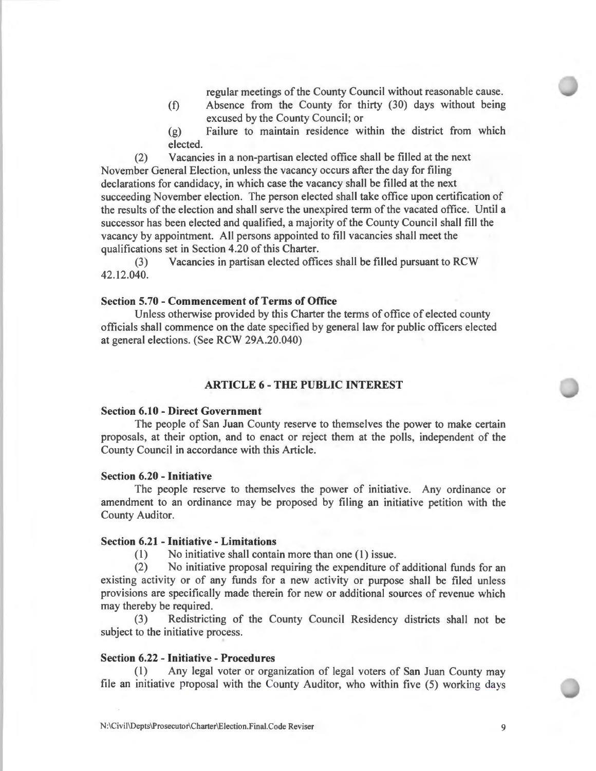regular meetings of the County Council without reasonable cause.

- (f) Absence from the County for thirty (30) days without being excused by the County Council; or
- (g) Failure to maintain residence within the district from which elected.

(2) Vacancies in a non-partisan elected office shall be filled at the next November General Election, unless the vacancy occurs after the day for filing declarations for candidacy, in which case the vacancy shall be filled at the next succeeding November election. The person elected shall take office upon certification of the results of the election and shall serve the unexpired term of the vacated office. Until a successor has been elected and qualified, a majority of the County Council shall fill the vacancy by appointment. All persons appointed to fill vacancies shall meet the qualifications set in Section 4.20 of this Charter.

(3) Vacancies in partisan elected offices shall be filled pursuant to RCW 42.12.040.

### **Section 5. 70** - **Commencement of Terms of Office**

Unless otherwise provided by this Charter the terms of office of elected county officials shall commence on the date specified by general law for public officers elected at general elections. (See RCW 29A.20.040)

## **ARTICLE 6** - **THE PUBLIC INTEREST**

#### **Section 6.10 - Direct Government**

The people of San Juan County reserve to themselves the power to make certain proposals, at their option, and to enact or reject them at the polls, independent of the County Council in accordance with this Article.

#### **Section 6.20 - Initiative**

The people reserve to themselves the power of initiative. Any ordinance or amendment to an ordinance may be proposed by filing an initiative petition with the County Auditor.

## **Section 6.21 - Initiative - Limitations**

(1) No initiative shall contain more than one (1) issue.

(2) No initiative proposal requiring the expenditure of additional funds for an existing activity or of any funds for a new activity or purpose shall be filed unless provisions are specifically made therein for new or additional sources of revenue which may thereby be required.

(3) Redistricting of the County Council Residency districts shall not be subject to the initiative process.

#### **Section 6.22 - Initiative - Procedures**

Any legal voter or organization of legal voters of San Juan County may file an initiative proposal with the County Auditor, who within five (5) working days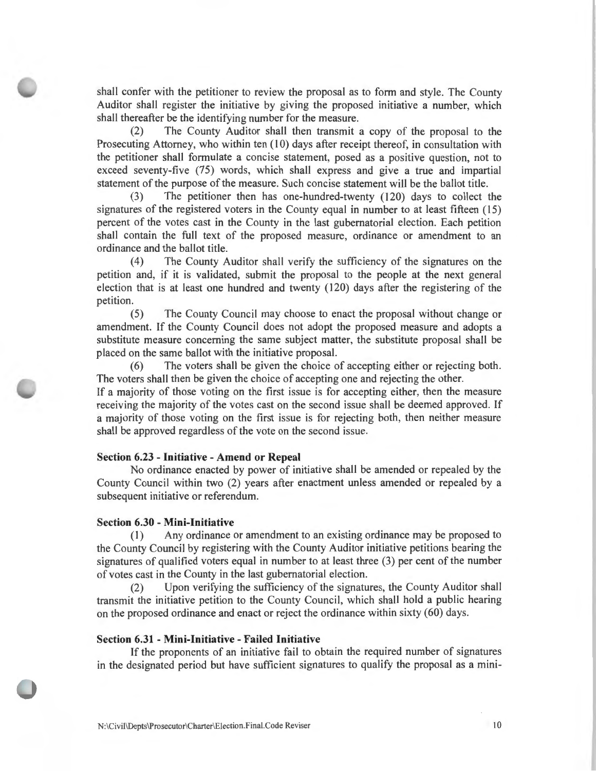shall confer with the petitioner to review the proposal as to form and style. The County Auditor shall register the initiative by giving the proposed initiative a number, which shall thereafter be the identifying number for the measure.

(2) The County Auditor shall then transmit a copy of the proposal to the Prosecuting Attorney, who within ten (10) days after receipt thereof, in consultation with the petitioner shall formulate a concise statement, posed as a positive question, not to exceed seventy-five (75) words, which shall express and give a true and impartial statement of the purpose of the measure. Such concise statement will be the ballot title.

(3) The petitioner then has one-hundred-twenty (120) days to collect the signatures of the registered voters in the County equal in number to at least fifteen (15) percent of the votes cast in the County in the last gubernatorial election. Each petition shall contain the full text of the proposed measure, ordinance or amendment to an ordinance and the ballot title.

(4) The County Auditor shall verify the sufficiency of the signatures on the petition and, if it is validated, submit the proposal to the people at the next general election that is at least one hundred and twenty (120) days after the registering of the petition.

(5) The County Council may choose to enact the proposal without change or amendment. If the County Council does not adopt the proposed measure and adopts a substitute measure concerning the same subject matter, the substitute proposal shall be placed on the same ballot with the initiative proposal.

(6) The voters shall be given the choice of accepting either or rejecting both . The voters shall then be given the choice of accepting one and rejecting the other.

If a majority of those voting on the first issue is for accepting either, then the measure receiving the majority of the votes cast on the second issue shall be deemed approved. If a majority of those voting on the first issue is for rejecting both, then neither measure shall be approved regardless of the vote on the second issue.

### **Section 6.23 - Initiative - Amend or Repeal**

No ordinance enacted by power of initiative shall be amended or repealed by the County Council within two (2) years after enactment unless amended or repealed by a subsequent initiative or referendum.

#### **Section 6.30 - Mini-Initiative**

(1) Any ordinance or amendment to an existing ordinance may be proposed to the County Council by registering with the County Auditor initiative petitions bearing the signatures of qualified voters equal in number to at least three (3) per cent of the number of votes cast in the County in the last gubernatorial election.

(2) Upon verifying the sufficiency of the signatures, the County Auditor shall transmit the initiative petition to the County Council, which shall hold a public hearing on the proposed ordinance and enact or reject the ordinance within sixty (60) days.

### **Section 6.31 - Mini-Initiative - Failed Initiative**

If the proponents of an initiative fail to obtain the required number of signatures in the designated period but have sufficient signatures to qualify the proposal as a mini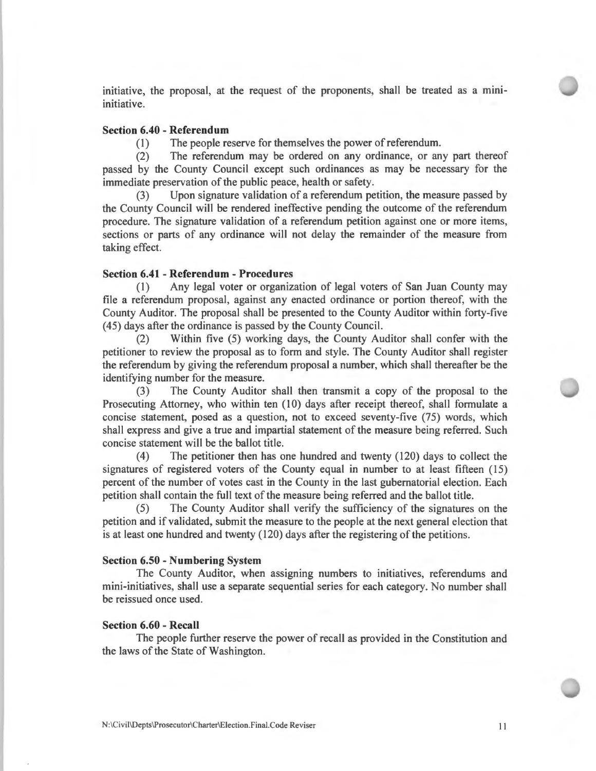initiative, the proposal, at the request of the proponents, shall be treated as a miniinitiative.

# **Section 6.40 - Referendum**

(1) The people reserve for themselves the power of referendum.

(2) The referendum may be ordered on any ordinance, or any part thereof passed by the County Council except such ordinances as may be necessary for the immediate preservation of the public peace, health or safety.

(3) Upon signature validation of a referendum petition, the measure passed by the County Council will be rendered ineffective pending the outcome of the referendum procedure. The signature validation of a referendum petition against one or more items, sections or parts of any ordinance will not delay the remainder of the measure from taking effect.

### **Section 6.41 - Referendum - Procedures**

(1) Any legal voter or organization of legal voters of San Juan County may file a referendum proposal, against any enacted ordinance or portion thereof, with the County Auditor. The proposal shall be presented to the County Auditor within forty-five ( 45) days after the ordinance is passed by the County Council.

(2) Within five (5) working days, the County Auditor shall confer with the petitioner to review the proposal as to form and style. The County Auditor shall register the referendum by giving the referendum proposal a number, which shall thereafter be the identifying number for the measure.

(3) The County Auditor shall then transmit a copy of the proposal to the Prosecuting Attorney, who within ten (10) days after receipt thereof, shall formulate a concise statement, posed as a question, not to exceed seventy-five (75) words, which shall express and give a true and impartial statement of the measure being referred. Such concise statement will be the ballot title.

( 4) The petitioner then has one hundred and twenty (120) days to collect the signatures of registered voters of the County equal in number to at least fifteen (15) percent of the number of votes cast in the County in the last gubernatorial election. Each petition shall contain the full text of the measure being referred and the ballot title.

(5) The County Auditor shall verify the sufficiency of the signatures on the petition and if validated, submit the measure to the people at the next general election that is at least one hundred and twenty (120) days after the registering of the petitions.

#### **Section 6.50 - Numbering System**

The County Auditor, when assigning numbers to initiatives, referendums and mini-initiatives, shall use a separate sequential series for each category. No number shall be reissued once used.

#### **Section 6.60 - Recall**

The people further reserve the power of recall as provided in the Constitution and the laws of the State of Washington.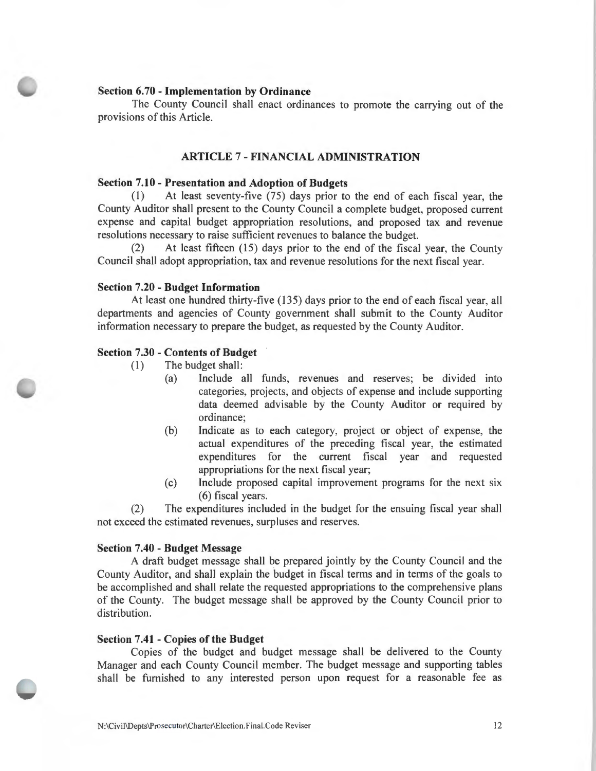### **Section 6.70** - **Implementation by Ordinance**

The County Council shall enact ordinances to promote the carrying out of the provisions of this Article.

# **ARTICLE** 7 - **FINANCIAL ADMINISTRATION**

#### **Section 7.10** - **Presentation and Adoption of Budgets**

**(1)** At least seventy-five (75) days prior to the end of each fiscal year, the County Auditor shall present to the County Council a complete budget, proposed current expense and capital budget appropriation resolutions, and proposed tax and revenue resolutions necessary to raise sufficient revenues to balance the budget.

(2) At least fifteen (15) days prior to the end of the fiscal year, the County Council shall adopt appropriation, tax and revenue resolutions for the next fiscal year.

#### **Section 7.20** - **Budget Information**

At least one hundred thirty-five (135) days prior to the end of each fiscal year, all departments and agencies of County government shall submit to the County Auditor information necessary to prepare the budget, as requested by the County Auditor.

#### **Section 7.30** - **Contents of Budget**

- ( 1) The budget shall:
	- (a) Include all funds, revenues and reserves; be divided into categories, projects, and objects of expense and include supporting data deemed advisable by the County Auditor or required by ordinance;
	- (b) Indicate as to each category, project or object of expense, the actual expenditures of the preceding fiscal year, the estimated expenditures for the current fiscal year and requested appropriations for the next fiscal year;
	- (c) Include proposed capital improvement programs for the next six (6) fiscal years.

(2) The expenditures included in the budget for the ensuing fiscal year shall not exceed the estimated revenues, surpluses and reserves.

#### **Section 7.40** - **Budget Message**

A draft budget message shall be prepared jointly by the County Council and the County Auditor, and shall explain the budget in fiscal terms and in terms of the goals to be accomplished and shall relate the requested appropriations to the comprehensive plans of the County. The budget message shall be approved by the County Council prior to distribution.

### **Section 7.41** - **Copies of the Budget**

Copies of the budget and budget message shall be delivered to the County Manager and each County Council member. The budget message and supporting tables shall be furnished to any interested person upon request for a reasonable fee as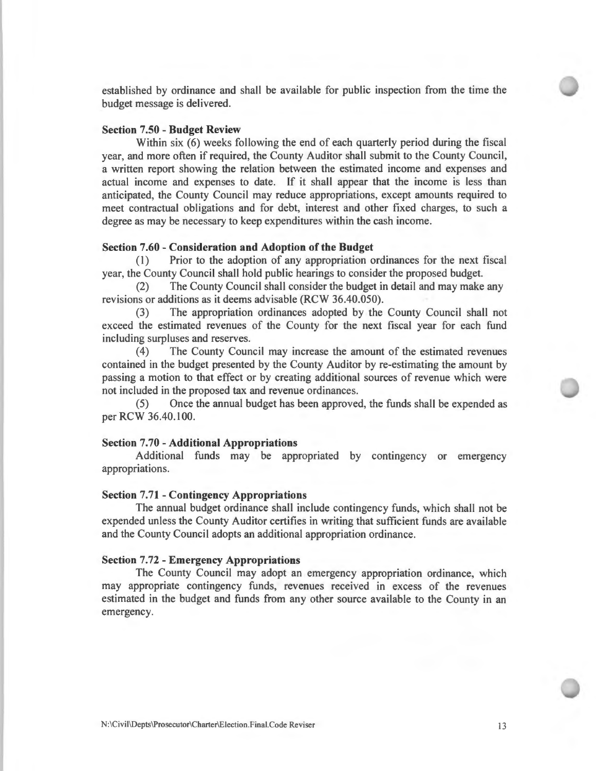established by ordinance and shall be available for public inspection from the time the budget message is delivered.

### **Section 7.50** - **Budget Review**

Within six (6) weeks following the end of each quarterly period during the fiscal year, and more often if required, the County Auditor shall submit to the County Council, a written report showing the relation between the estimated income and expenses and actual income and expenses to date. If it shall appear that the income is less than anticipated, the County Council may reduce appropriations, except amounts required to meet contractual obligations and for debt, interest and other fixed charges, to such a degree as may be necessary to keep expenditures within the cash income.

### **Section 7.60** - **Consideration and Adoption of the Budget**

(1) Prior to the adoption of any appropriation ordinances for the next fiscal year, the County Council shall hold public hearings to consider the proposed budget.

(2) The County Council shall consider the budget in detail and may make any revisions or additions as it deems advisable (RCW 36.40.050).

(3) The appropriation ordinances adopted by the County Council shall not exceed the estimated revenues of the County for the next fiscal year for each fund including surpluses and reserves.

(4) The County Council may increase the amount of the estimated revenues contained in the budget presented by the County Auditor by re-estimating the amount by passing a motion to that effect or by creating additional sources of revenue which were not included in the proposed tax and revenue ordinances.

(5) Once the annual budget has been approved, the funds shall be expended as per RCW 36.40.100.

#### **Section 7.70** - **Additional Appropriations**

Additional funds may be appropriated by contingency or emergency appropriations.

#### **Section 7.71** - **Contingency Appropriations**

The annual budget ordinance shall include contingency funds, which shall not be expended unless the County Auditor certifies in writing that sufficient funds are available and the County Council adopts an additional appropriation ordinance.

#### **Section** 7.72 - **Emergency Appropriations**

The County Council may adopt an emergency appropriation ordinance, which may appropriate contingency funds, revenues received in excess of the revenues estimated in the budget and funds from any other source available to the County in an emergency.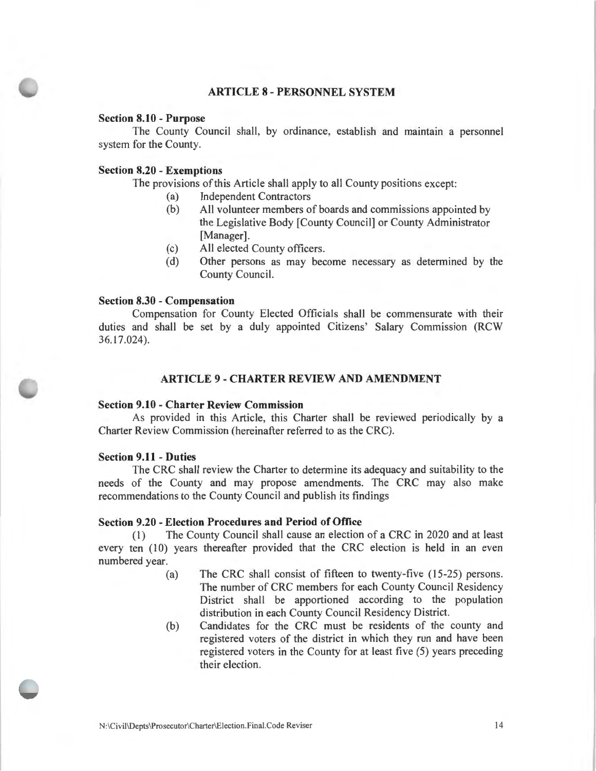# **ARTICLE 8 - PERSONNEL SYSTEM**

### **Section 8.10 - Purpose**

The County Council shall, by ordinance, establish and maintain a personnel system for the County.

### **Section 8.20 - Exemptions**

The provisions of this Article shall apply to all County positions except:

- (a) Independent Contractors
- (b) All volunteer members of boards and commissions appointed by the Legislative Body [County Council] or County Administrator [Manager].
- (c) All elected County officers.
- (d) Other persons as may become necessary as determined by the County Council.

### **Section 8.30 - Compensation**

Compensation for County Elected Officials shall be commensurate with their duties and shall be set by a duly appointed Citizens' Salary Commission (RCW 36.17.024).

# **ARTICLE 9 - CHARTER REVIEW AND AMENDMENT**

#### **Section 9.10 - Charter Review Commission**

As provided in this Article, this Charter shall be reviewed periodically by a Charter Review Commission (hereinafter referred to as the CRC).

### **Section 9.11 - Duties**

The CRC shall review the Charter to determine its adequacy and suitability to the needs of the County and may propose amendments. The CRC may also make recommendations to the County Council and publish its findings

# **Section 9.20 - Election Procedures and Period of Office**

(l) The County Council shall cause an election of a CRC in 2020 and at least every ten (10) years thereafter provided that the CRC election is held in an even numbered year.

- (a) The CRC shall consist of fifteen to twenty-five (15-25) persons. The number of CRC members for each County Council Residency District shall be apportioned according to the population distribution in each County Council Residency District.
- (b) Candidates for the CRC must be residents of the county and registered voters of the district in which they run and have been registered voters in the County for at least five (5) years preceding their election.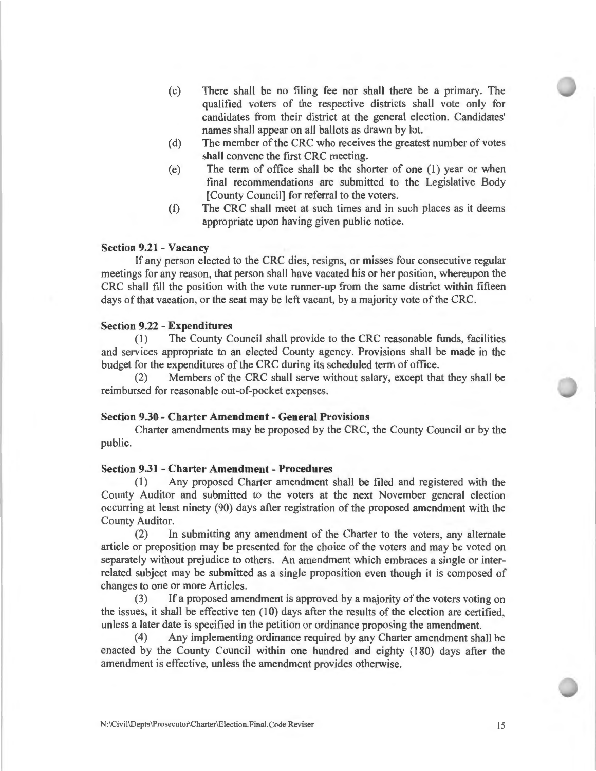- (c) There shall be no filing fee nor shall there be a primary. The qualified voters of the respective districts shall vote only for candidates from their district at the general election. Candidates' names shall appear on all ballots as drawn by lot.
- (d) The member of the CRC who receives the greatest number of votes shall convene the first CRC meeting.
- $(e)$  The term of office shall be the shorter of one  $(1)$  year or when final recommendations are submitted to the Legislative Body [County Council] for referral to the voters.
- (f) The CRC shall meet at such times and in such places as it deems appropriate upon having given public notice.

### **Section 9.21 - Vacancy**

If any person elected to the CRC dies, resigns, or misses four consecutive regular meetings for any reason, that person shall have vacated his or her position, whereupon the CRC shall fill the position with the vote runner-up from the same district within fifteen days of that vacation, or the seat may be left vacant, by a majority vote of the CRC.

#### **Section 9.22 - Expenditures**

(I) The County Council shall provide to the CRC reasonable funds, facilities and services appropriate to an elected County agency. Provisions shall be made in the budget for the expenditures of the CRC during its scheduled term of office.

(2) Members of the CRC shall serve without salary, except that they shall be reimbursed for reasonable out-of-pocket expenses.

#### **Section 9.30 - Charter Amendment - General Provisions**

Charter amendments may be proposed by the CRC, the County Council or by the public.

#### **Section 9.31 - Charter Amendment - Procedures**

(I) Any proposed Charter amendment shall be filed and registered with the County Auditor and submitted to the voters at the next November general election occurring at least ninety (90) days after registration of the proposed amendment with the County Auditor.

(2) In submitting any amendment of the Charter to the voters, any alternate article or proposition may be presented for the choice of the voters and may be voted on separately without prejudice to others. An amendment which embraces a single or interrelated subject may be submitted as a single proposition even though it is composed of changes to one or more Articles.

(3) If a proposed amendment is approved by a majority of the voters voting on the issues, it shall be effective ten  $(10)$  days after the results of the election are certified. unless a later date is specified in the petition or ordinance proposing the amendment.

(4) Any implementing ordinance required by any Charter amendment shall be enacted by the County Council within one hundred and eighty (180) days after the amendment is effective, unless the amendment provides otherwise.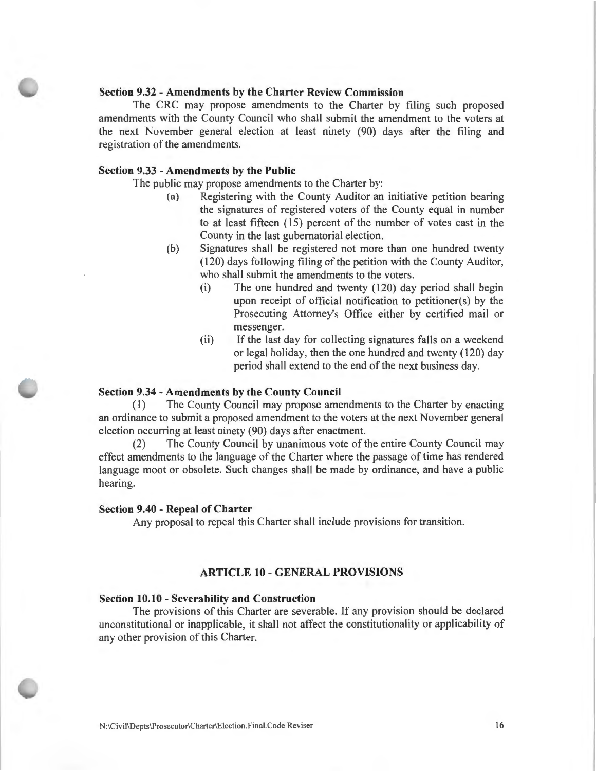### **Section 9.32 - Amendments by the Charter Review Commission**

The CRC may propose amendments to the Charter by filing such proposed amendments with the County Council who shall submit the amendment to the voters at the next November general election at least ninety (90) days after the filing and registration of the amendments.

### **Section 9.33 - Amendments by the Public**

The public may propose amendments to the Charter by:

- (a) Registering with the County Auditor an initiative petition bearing the signatures of registered voters of the County equal in number to at least fifteen (15) percent of the number of votes cast in the County in the last gubernatorial election.
- (b) Signatures shall be registered not more than one hundred twenty (120) days following filing of the petition with the County Auditor, who shall submit the amendments to the voters.
	- (i) The one hundred and twenty (120) day period shall begin upon receipt of official notification to petitioner(s) by the Prosecuting Attorney's Office either by certified mail or messenger.
	- (ii) If the last day for collecting signatures falls on a weekend or legal holiday, then the one hundred and twenty (120) day period shall extend to the end of the next business day.

### **Section 9.34 - Amendments by the County Council**

(1) The County Council may propose amendments to the Charter by enacting an ordinance to submit a proposed amendment to the voters at the next November general election occurring at least ninety (90) days after enactment.

(2) The County Council by unanimous vote of the entire County Council may effect amendments to the language of the Charter where the passage of time has rendered language moot or obsolete. Such changes shall be made by ordinance, and have a public hearing.

#### **Section 9.40 - Repeal of Charter**

Any proposal to repeal this Charter shall include provisions for transition.

# **ARTICLE 10 - GENERAL PROVISIONS**

### **Section 10.10 - Severability and Construction**

The provisions of this Charter are severable. If any provision should be declared unconstitutional or inapplicable, it shall not affect the constitutionality or applicability of any other provision of this Charter.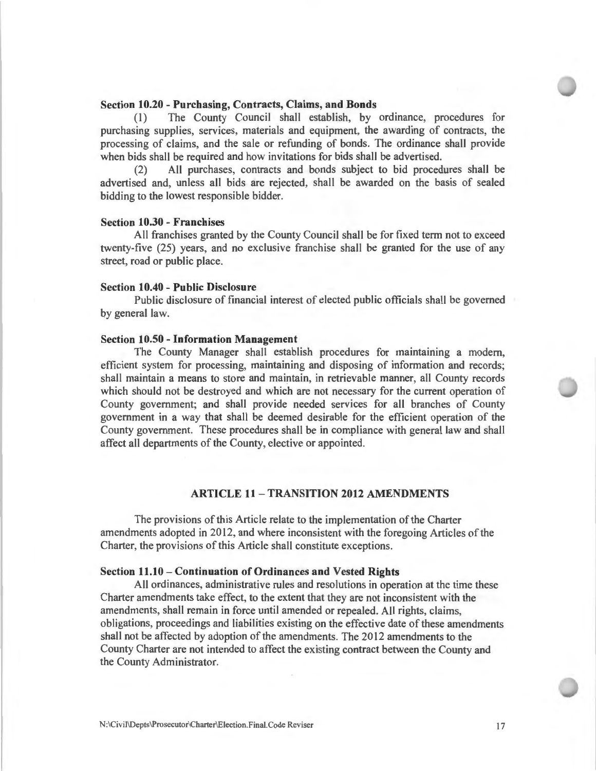# **Section 10.20 - Purchasing, Contracts, Claims, and Bonds**

(I) The County Council shall establish, by ordinance, procedures for purchasing supplies, services, materials and equipment, the awarding of contracts, the processing of claims, and the sale or refunding of bonds. The ordinance shall provide when bids shall be required and how invitations for bids shall be advertised.

(2) All purchases, contracts and bonds subject to bid procedures shall be advertised and, unless all bids are rejected, shall be awarded on the basis of sealed bidding to the lowest responsible bidder.

#### **Section 10.30 - Franchises**

All franchises granted by the County Council shall be for fixed term not to exceed twenty-five (25) years, and no exclusive franchise shall be granted for the use of any street, road or public place.

#### **Section 10.40 - Public Disclosure**

Public disclosure of financial interest of elected public officials shall be governed by general law.

#### **Section 10.50 - Information Management**

The County Manager shall establish procedures for maintaining a modern, efficient system for processing, maintaining and disposing of information and records; shall maintain a means to store and maintain, in retrievable manner, all County records which should not be destroyed and which are not necessary for the current operation of County government; and shall provide needed services for all branches of County government in a way that shall be deemed desirable for the efficient operation of the County government. These procedures shall be in compliance with general law and shall affect all departments of the County, elective or appointed.

# **ARTICLE 11 - TRANSITION 2012 AMENDMENTS**

The provisions of this Article relate to the implementation of the Charter amendments adopted in 2012, and where inconsistent with the foregoing Articles of the Charter, the provisions of this Article shall constitute exceptions.

#### **Section 11.10- Continuation of Ordinances and Vested Rights**

All ordinances, administrative rules and resolutions in operation at the time these Charter amendments take effect, to the extent that they are not inconsistent with the amendments, shall remain in force until amended or repealed. All rights, claims, obligations, proceedings and liabilities existing on the effective date of these amendments shall not be affected by adoption of the amendments. The 2012 amendments to the County Charter are not intended to affect the existing contract between the County and the County Administrator.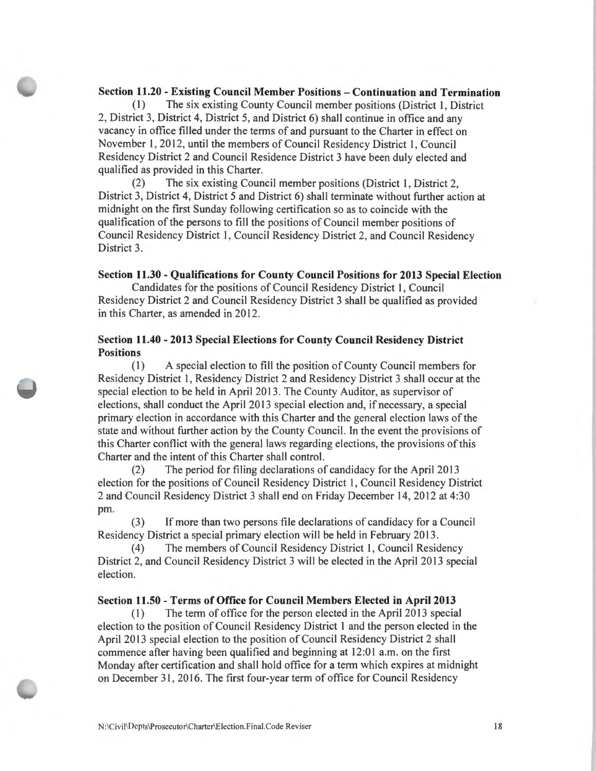# **Section 11.20** - **Existing Council Member Positions** - **Continuation and Termination**

(1) The six existing County Council member positions (District 1, District 2, District 3, District 4, District 5, and District 6) shall continue in office and any vacancy in office filled under the terms of and pursuant to the Charter in effect on November I, 2012, until the members of Council Residency District I, Council Residency District 2 and Council Residence District 3 have been duly elected and qualified as provided in this Charter.

(2) The six existing Council member positions (District I, District 2, District 3, District 4, District 5 and District 6) shall terminate without further action at midnight on the first Sunday following certification so as to coincide with the qualification of the persons to fill the positions of Council member positions of Council Residency District 1, Council Residency District 2, and Council Residency District 3.

#### **Section 11.30** - **Qualifications for County Council Positions for 2013 Special Election**

Candidates for the positions of Council Residency District 1, Council Residency District 2 and Council Residency District 3 shall be qualified as provided in this Charter, as amended in 2012.

# **Section 11.40** - **2013 Special Elections for County Council Residency District Positions**

 $(1)$  A special election to fill the position of County Council members for Residency District 1, Residency District 2 and Residency District 3 shall occur at the special election to be held in April 2013 . The County Auditor, as supervisor of elections, shall conduct the April 2013 special election and, if necessary, a special primary election in accordance with this Charter and the general election laws of the state and without further action by the County Council. In the event the provisions of this Charter conflict with the general laws regarding elections, the provisions of this Charter and the intent of this Charter shall control.

(2) The period for filing declarations of candidacy for the April 2013 election for the positions of Council Residency District 1, Council Residency District 2 and Council Residency District 3 shall end on Friday December 14, 2012 at 4:30 pm.

(3) If more than two persons file declarations of candidacy for a Council Residency District a special primary election will be held in February 2013 .

(4) The members of Council Residency District I, Council Residency District 2, and Council Residency District 3 will be elected in the April 2013 special election.

#### **Section 11.50** - **Terms of Office for Council Members Elected in April 2013**

(I) The term of office for the person elected in the April 2013 special election to the position of Council Residency District 1 and the person elected in the April 2013 special election to the position of Council Residency District 2 shall commence after having been qualified and beginning at 12:01 a.m. on the first Monday after certification and shall hold office for a term which expires at midnight on December 31 , 2016. The first four-year term of office for Council Residency